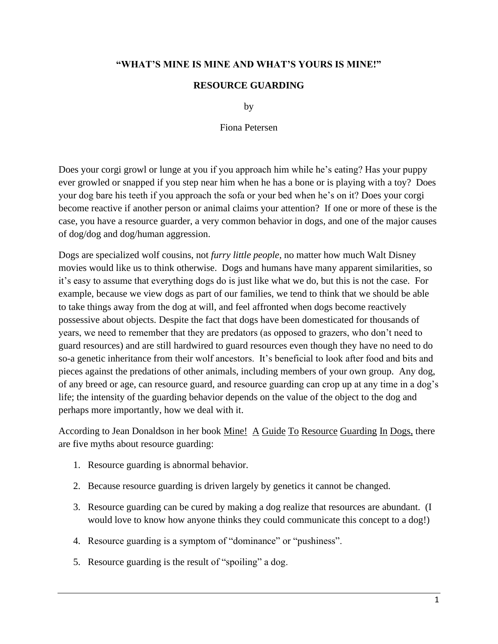## **"WHAT'S MINE IS MINE AND WHAT'S YOURS IS MINE!"**

## **RESOURCE GUARDING**

by

Fiona Petersen

Does your corgi growl or lunge at you if you approach him while he's eating? Has your puppy ever growled or snapped if you step near him when he has a bone or is playing with a toy? Does your dog bare his teeth if you approach the sofa or your bed when he's on it? Does your corgi become reactive if another person or animal claims your attention? If one or more of these is the case, you have a resource guarder, a very common behavior in dogs, and one of the major causes of dog/dog and dog/human aggression.

Dogs are specialized wolf cousins, not *furry little people*, no matter how much Walt Disney movies would like us to think otherwise. Dogs and humans have many apparent similarities, so it's easy to assume that everything dogs do is just like what we do, but this is not the case. For example, because we view dogs as part of our families, we tend to think that we should be able to take things away from the dog at will, and feel affronted when dogs become reactively possessive about objects. Despite the fact that dogs have been domesticated for thousands of years, we need to remember that they are predators (as opposed to grazers, who don't need to guard resources) and are still hardwired to guard resources even though they have no need to do so-a genetic inheritance from their wolf ancestors. It's beneficial to look after food and bits and pieces against the predations of other animals, including members of your own group. Any dog, of any breed or age, can resource guard, and resource guarding can crop up at any time in a dog's life; the intensity of the guarding behavior depends on the value of the object to the dog and perhaps more importantly, how we deal with it.

According to Jean Donaldson in her book Mine! A Guide To Resource Guarding In Dogs, there are five myths about resource guarding:

- 1. Resource guarding is abnormal behavior.
- 2. Because resource guarding is driven largely by genetics it cannot be changed.
- 3. Resource guarding can be cured by making a dog realize that resources are abundant. (I would love to know how anyone thinks they could communicate this concept to a dog!)
- 4. Resource guarding is a symptom of "dominance" or "pushiness".
- 5. Resource guarding is the result of "spoiling" a dog.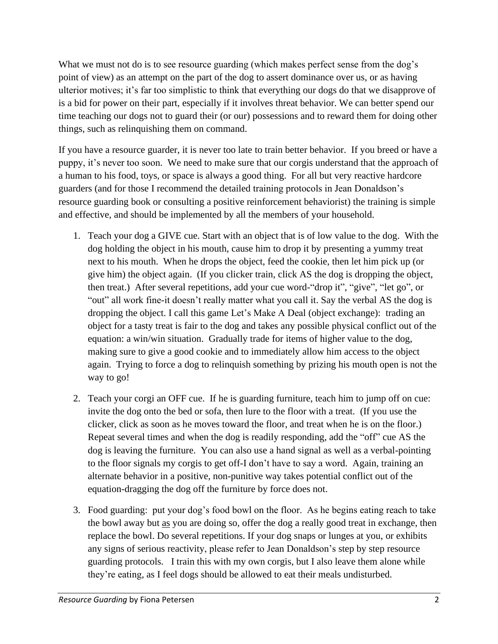What we must not do is to see resource guarding (which makes perfect sense from the dog's point of view) as an attempt on the part of the dog to assert dominance over us, or as having ulterior motives; it's far too simplistic to think that everything our dogs do that we disapprove of is a bid for power on their part, especially if it involves threat behavior. We can better spend our time teaching our dogs not to guard their (or our) possessions and to reward them for doing other things, such as relinquishing them on command.

If you have a resource guarder, it is never too late to train better behavior. If you breed or have a puppy, it's never too soon. We need to make sure that our corgis understand that the approach of a human to his food, toys, or space is always a good thing. For all but very reactive hardcore guarders (and for those I recommend the detailed training protocols in Jean Donaldson's resource guarding book or consulting a positive reinforcement behaviorist) the training is simple and effective, and should be implemented by all the members of your household.

- 1. Teach your dog a GIVE cue. Start with an object that is of low value to the dog. With the dog holding the object in his mouth, cause him to drop it by presenting a yummy treat next to his mouth. When he drops the object, feed the cookie, then let him pick up (or give him) the object again. (If you clicker train, click AS the dog is dropping the object, then treat.) After several repetitions, add your cue word-"drop it", "give", "let go", or "out" all work fine-it doesn't really matter what you call it. Say the verbal AS the dog is dropping the object. I call this game Let's Make A Deal (object exchange): trading an object for a tasty treat is fair to the dog and takes any possible physical conflict out of the equation: a win/win situation. Gradually trade for items of higher value to the dog, making sure to give a good cookie and to immediately allow him access to the object again. Trying to force a dog to relinquish something by prizing his mouth open is not the way to go!
- 2. Teach your corgi an OFF cue. If he is guarding furniture, teach him to jump off on cue: invite the dog onto the bed or sofa, then lure to the floor with a treat. (If you use the clicker, click as soon as he moves toward the floor, and treat when he is on the floor.) Repeat several times and when the dog is readily responding, add the "off" cue AS the dog is leaving the furniture. You can also use a hand signal as well as a verbal-pointing to the floor signals my corgis to get off-I don't have to say a word. Again, training an alternate behavior in a positive, non-punitive way takes potential conflict out of the equation-dragging the dog off the furniture by force does not.
- 3. Food guarding: put your dog's food bowl on the floor. As he begins eating reach to take the bowl away but as you are doing so, offer the dog a really good treat in exchange, then replace the bowl. Do several repetitions. If your dog snaps or lunges at you, or exhibits any signs of serious reactivity, please refer to Jean Donaldson's step by step resource guarding protocols. I train this with my own corgis, but I also leave them alone while they're eating, as I feel dogs should be allowed to eat their meals undisturbed.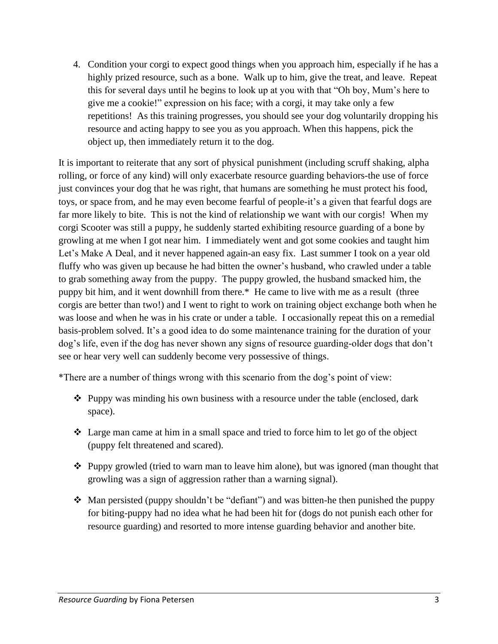4. Condition your corgi to expect good things when you approach him, especially if he has a highly prized resource, such as a bone. Walk up to him, give the treat, and leave. Repeat this for several days until he begins to look up at you with that "Oh boy, Mum's here to give me a cookie!" expression on his face; with a corgi, it may take only a few repetitions! As this training progresses, you should see your dog voluntarily dropping his resource and acting happy to see you as you approach. When this happens, pick the object up, then immediately return it to the dog.

It is important to reiterate that any sort of physical punishment (including scruff shaking, alpha rolling, or force of any kind) will only exacerbate resource guarding behaviors-the use of force just convinces your dog that he was right, that humans are something he must protect his food, toys, or space from, and he may even become fearful of people-it's a given that fearful dogs are far more likely to bite. This is not the kind of relationship we want with our corgis! When my corgi Scooter was still a puppy, he suddenly started exhibiting resource guarding of a bone by growling at me when I got near him. I immediately went and got some cookies and taught him Let's Make A Deal, and it never happened again-an easy fix. Last summer I took on a year old fluffy who was given up because he had bitten the owner's husband, who crawled under a table to grab something away from the puppy. The puppy growled, the husband smacked him, the puppy bit him, and it went downhill from there.\* He came to live with me as a result (three corgis are better than two!) and I went to right to work on training object exchange both when he was loose and when he was in his crate or under a table. I occasionally repeat this on a remedial basis-problem solved. It's a good idea to do some maintenance training for the duration of your dog's life, even if the dog has never shown any signs of resource guarding-older dogs that don't see or hear very well can suddenly become very possessive of things.

\*There are a number of things wrong with this scenario from the dog's point of view:

- ❖ Puppy was minding his own business with a resource under the table (enclosed, dark space).
- ❖ Large man came at him in a small space and tried to force him to let go of the object (puppy felt threatened and scared).
- ❖ Puppy growled (tried to warn man to leave him alone), but was ignored (man thought that growling was a sign of aggression rather than a warning signal).
- ❖ Man persisted (puppy shouldn't be "defiant") and was bitten-he then punished the puppy for biting-puppy had no idea what he had been hit for (dogs do not punish each other for resource guarding) and resorted to more intense guarding behavior and another bite.